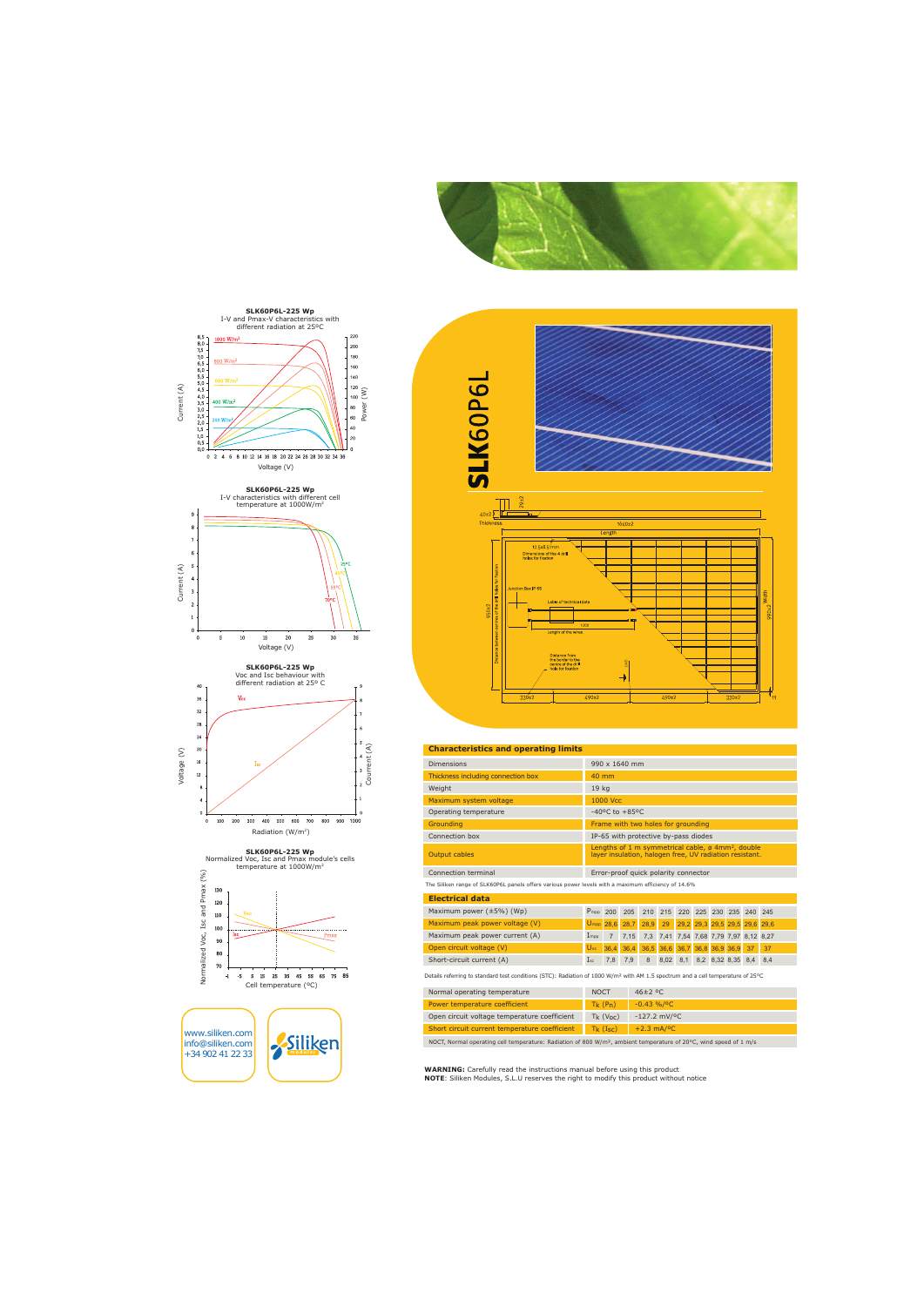







www.siliken.com info@siliken.com +34 902 41 22 33







#### **Characteristics and operating limits**

| <b>Dimensions</b>                                                                                                                           | 990 x 1640 mm                                                                                                                        |                |      |      |                               |     |                               |                       |     |     |
|---------------------------------------------------------------------------------------------------------------------------------------------|--------------------------------------------------------------------------------------------------------------------------------------|----------------|------|------|-------------------------------|-----|-------------------------------|-----------------------|-----|-----|
| Thickness including connection box                                                                                                          | 40 mm                                                                                                                                |                |      |      |                               |     |                               |                       |     |     |
| Weight                                                                                                                                      | 19 kg                                                                                                                                |                |      |      |                               |     |                               |                       |     |     |
| Maximum system voltage                                                                                                                      | 1000 Vcc                                                                                                                             |                |      |      |                               |     |                               |                       |     |     |
| Operating temperature                                                                                                                       | $-40^{\circ}$ C to $+85^{\circ}$ C                                                                                                   |                |      |      |                               |     |                               |                       |     |     |
| Groundina                                                                                                                                   | Frame with two holes for grounding                                                                                                   |                |      |      |                               |     |                               |                       |     |     |
| Connection box                                                                                                                              | IP-65 with protective by-pass diodes                                                                                                 |                |      |      |                               |     |                               |                       |     |     |
| <b>Output cables</b>                                                                                                                        | Lengths of 1 m symmetrical cable, $\varnothing$ 4mm <sup>2</sup> , double<br>layer insulation, halogen free, UV radiation resistant. |                |      |      |                               |     |                               |                       |     |     |
| Connection terminal                                                                                                                         | Error-proof quick polarity connector                                                                                                 |                |      |      |                               |     |                               |                       |     |     |
| The Siliken range of SLK60P6L panels offers various power levels with a maximum efficiency of 14.6%                                         |                                                                                                                                      |                |      |      |                               |     |                               |                       |     |     |
| <b>Electrical data</b>                                                                                                                      |                                                                                                                                      |                |      |      |                               |     |                               |                       |     |     |
| Maximum power $(\pm 5\%)$ (Wp)                                                                                                              | $P_{\text{mpo}}$                                                                                                                     | 200            | 205  | 210  | 215                           | 220 |                               | 225 230 235           | 240 | 245 |
| Maximum peak power voltage (V)                                                                                                              | $U_{\text{mpp}}$                                                                                                                     | 28,6           | 28,7 | 28,9 | 29                            |     | 29,2 29,3 29,5 29,5 29,6 29,6 |                       |     |     |
| Maximum peak power current (A)                                                                                                              | Impp                                                                                                                                 | $\overline{7}$ | 7,15 | 7,3  | 7,41                          |     | 7,54 7,68 7,79 7,97 8,12 8,27 |                       |     |     |
| Open circuit voltage (V)                                                                                                                    | $U_{oc}$                                                                                                                             | 36,4           | 36,4 |      | 36,5 36,6 36,7 36,8 36,9 36,9 |     |                               |                       | 37  | 37  |
| Short-circuit current (A)                                                                                                                   | $I_{sc}$                                                                                                                             | 7,8            | 7.9  | 8    | 8.02                          | 8,1 |                               | 8,2 8,32 8,35 8,4 8,4 |     |     |
| Details referring to standard test conditions (STC): Radiation of 1000 W/m <sup>2</sup> with AM 1.5 spectrum and a cell temperature of 25°C |                                                                                                                                      |                |      |      |                               |     |                               |                       |     |     |

| ivornial operating temperature                                                                                                | <b>INUCT</b> | $40-L$ $C$                  |  |  |  |  |
|-------------------------------------------------------------------------------------------------------------------------------|--------------|-----------------------------|--|--|--|--|
| Power temperature coefficient                                                                                                 | $Tk$ $(Ph)$  | $-0.43\% / 0C$              |  |  |  |  |
| Open circuit voltage temperature coefficient                                                                                  | $Tk (V_0c)$  | $-127.2$ mV/ <sup>o</sup> C |  |  |  |  |
| Short circuit current temperature coefficient                                                                                 | $Tk$ (Isc)   | $+2.3$ mA/ <sup>o</sup> C   |  |  |  |  |
| NOCT, Normal operating cell temperature: Radiation of 800 W/m <sup>2</sup> , ambient temperature of 20°C, wind speed of 1 m/s |              |                             |  |  |  |  |

**WARNING:** Carefully read the instructions manual before using this product

NOTE: Siliken Modules, S.L.U reserves the right to modify this product without notice